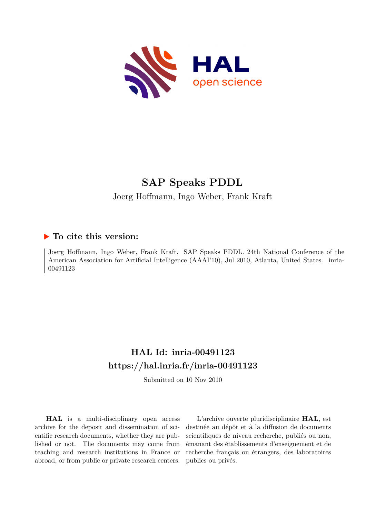

# **SAP Speaks PDDL**

Joerg Hoffmann, Ingo Weber, Frank Kraft

# **To cite this version:**

Joerg Hoffmann, Ingo Weber, Frank Kraft. SAP Speaks PDDL. 24th National Conference of the American Association for Artificial Intelligence (AAAI'10), Jul 2010, Atlanta, United States. inria-00491123ff

# **HAL Id: inria-00491123 <https://hal.inria.fr/inria-00491123>**

Submitted on 10 Nov 2010

**HAL** is a multi-disciplinary open access archive for the deposit and dissemination of scientific research documents, whether they are published or not. The documents may come from teaching and research institutions in France or abroad, or from public or private research centers.

L'archive ouverte pluridisciplinaire **HAL**, est destinée au dépôt et à la diffusion de documents scientifiques de niveau recherche, publiés ou non, émanant des établissements d'enseignement et de recherche français ou étrangers, des laboratoires publics ou privés.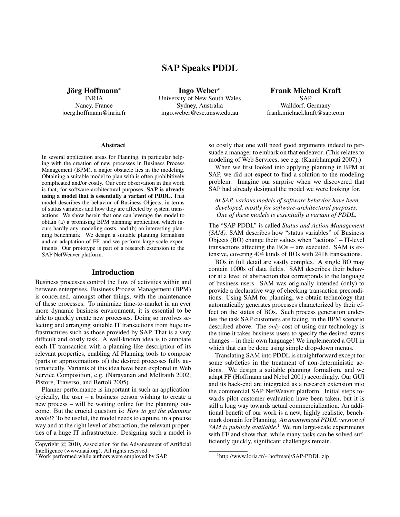# **SAP Speaks PDDL**

**Jorg Hoffmann ¨** ∗

INRIA Nancy, France joerg.hoffmann@inria.fr

**Ingo Weber**<sup>∗</sup> University of New South Wales Sydney, Australia ingo.weber@cse.unsw.edu.au

**Frank Michael Kraft** SAP Walldorf, Germany frank.michael.kraft@sap.com

#### **Abstract**

In several application areas for Planning, in particular helping with the creation of new processes in Business Process Management (BPM), a major obstacle lies in the modeling. Obtaining a suitable model to plan with is often prohibitively complicated and/or costly. Our core observation in this work is that, for software-architectural purposes, **SAP is already using a model that is essentially a variant of PDDL.** That model describes the behavior of Business Objects, in terms of status variables and how they are affected by system transactions. We show herein that one can leverage the model to obtain (a) a promising BPM planning application which incurs hardly any modeling costs, and (b) an interesting planning benchmark. We design a suitable planning formalism and an adaptation of FF, and we perform large-scale experiments. Our prototype is part of a research extension to the SAP NetWeaver platform.

#### **Introduction**

Business processes control the flow of activities within and between enterprises. Business Process Management (BPM) is concerned, amongst other things, with the maintenance of these processes. To minimize time-to-market in an ever more dynamic business environment, it is essential to be able to quickly create new processes. Doing so involves selecting and arranging suitable IT transactions from huge infrastructures such as those provided by SAP. That is a very difficult and costly task. A well-known idea is to annotate each IT transaction with a planning-like description of its relevant properties, enabling AI Planning tools to compose (parts or approximations of) the desired processes fully automatically. Variants of this idea have been explored in Web Service Composition, e.g. (Narayanan and McIlraith 2002; Pistore, Traverso, and Bertoli 2005).

Planner performance is important in such an application: typically, the user – a business person wishing to create a new process – will be waiting online for the planning outcome. But the crucial question is: *How to get the planning model?* To be useful, the model needs to capture, in a precise way and at the right level of abstraction, the relevant properties of a huge IT infrastructure. Designing such a model is

so costly that one will need good arguments indeed to persuade a manager to embark on that endeavor. (This relates to modeling of Web Services, see e.g. (Kambhampati 2007).)

When we first looked into applying planning in BPM at SAP, we did not expect to find a solution to the modeling problem. Imagine our surprise when we discovered that SAP had already designed the model we were looking for.

*At SAP, various models of software behavior have been developed, mostly for software-architectural purposes. One of these models is essentially a variant of PDDL.*

The "SAP PDDL" is called *Status and Action Management (SAM).* SAM describes how "status variables" of Business Objects (BO) change their values when "actions" – IT-level transactions affecting the BOs – are executed. SAM is extensive, covering 404 kinds of BOs with 2418 transactions.

BOs in full detail are vastly complex. A single BO may contain 1000s of data fields. SAM describes their behavior at a level of abstraction that corresponds to the language of business users. SAM was originally intended (only) to provide a declarative way of checking transaction preconditions. Using SAM for planning, we obtain technology that automatically generates processes characterized by their effect on the status of BOs. Such process generation underlies the task SAP customers are facing, in the BPM scenario described above. The *only* cost of using our technology is the time it takes business users to specify the desired status changes – in their own language! We implemented a GUI in which that can be done using simple drop-down menus.

Translating SAM into PDDL is straightforward except for some subtleties in the treatment of non-deterministic actions. We design a suitable planning formalism, and we adapt FF (Hoffmann and Nebel 2001) accordingly. Our GUI and its back-end are integrated as a research extension into the commercial SAP NetWeaver platform. Initial steps towards pilot customer evaluation have been taken, but it is still a long way towards actual commercialization. An additional benefit of our work is a new, highly realistic, benchmark domain for Planning. *An anonymized PDDL version of SAM is publicly available.*<sup>1</sup> We run large-scale experiments with FF and show that, while many tasks can be solved sufficiently quickly, significant challenges remain.

Copyright (c) 2010, Association for the Advancement of Artificial Intelligence (www.aaai.org). All rights reserved.

<sup>∗</sup>Work performed while authors were employed by SAP.

<sup>1</sup> http://www.loria.fr/∼hoffmanj/SAP-PDDL.zip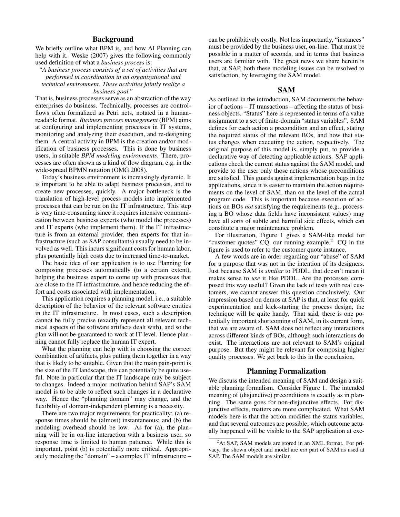# **Background**

We briefly outline what BPM is, and how AI Planning can help with it. Weske (2007) gives the following commonly used definition of what a *business process* is:

# *"A business process consists of a set of activities that are performed in coordination in an organizational and technical environment. These activities jointly realize a*

#### *business goal."*

That is, business processes serve as an abstraction of the way enterprises do business. Technically, processes are controlflows often formalized as Petri nets, notated in a humanreadable format. *Business process management* (BPM) aims at configuring and implementing processes in IT systems, monitoring and analyzing their execution, and re-designing them. A central activity in BPM is the creation and/or modification of business processes. This is done by business users, in suitable *BPM modeling environments*. There, processes are often shown as a kind of flow diagram, e.g. in the wide-spread BPMN notation (OMG 2008).

Today's business environment is increasingly dynamic. It is important to be able to adapt business processes, and to create new processes, quickly. A major bottleneck is the translation of high-level process models into implemented processes that can be run on the IT infrastructure. This step is very time-consuming since it requires intensive communication between business experts (who model the processes) and IT experts (who implement them). If the IT infrastructure is from an external provider, then experts for that infrastructure (such as SAP consultants) usually need to be involved as well. This incurs significant costs for human labor, plus potentially high costs due to increased time-to-market.

The basic idea of our application is to use Planning for composing processes automatically (to a certain extent), helping the business expert to come up with processes that are close to the IT infrastructure, and hence reducing the effort and costs associated with implementation.

This application requires a planning model, i.e., a suitable description of the behavior of the relevant software entities in the IT infrastructure. In most cases, such a description cannot be fully precise (exactly represent all relevant technical aspects of the software artifacts dealt with), and so the plan will not be guaranteed to work at IT-level. Hence planning cannot fully replace the human IT expert.

What the planning can help with is choosing the correct combination of artifacts, plus putting them together in a way that is likely to be suitable. Given that the main pain-point is the size of the IT landscape, this can potentially be quite useful. Note in particular that the IT landscape may be subject to changes. Indeed a major motivation behind SAP's SAM model is to be able to reflect such changes in a declarative way. Hence the "planning domain" may change, and the flexibility of domain-independent planning is a necessity.

There are two major requirements for practicality: (a) response times should be (almost) instantaneous; and (b) the modeling overhead should be low. As for (a), the planning will be in on-line interaction with a business user, so response time is limited to human patience. While this is important, point (b) is potentially more critical. Appropriately modeling the "domain" – a complex IT infrastructure –

can be prohibitively costly. Not less importantly, "instances" must be provided by the business user, on-line. That must be possible in a matter of seconds, and in terms that business users are familiar with. The great news we share herein is that, at SAP, both these modeling issues can be resolved to satisfaction, by leveraging the SAM model.

## **SAM**

As outlined in the introduction, SAM documents the behavior of actions – IT transactions – affecting the status of business objects. "Status" here is represented in terms of a value assignment to a set of finite-domain "status variables". SAM defines for each action a precondition and an effect, stating the required status of the relevant BOs, and how that status changes when executing the action, respectively. The original purpose of this model is, simply put, to provide a declarative way of detecting applicable actions. SAP applications check the current status against the SAM model, and provide to the user only those actions whose preconditions are satisfied. This guards against implementation bugs in the applications, since it is easier to maintain the action requirements on the level of SAM, than on the level of the actual program code. This is important because execution of actions on BOs *not* satisfying the requirements (e.g., processing a BO whose data fields have inconsistent values) may have all sorts of subtle and harmful side effects, which can constitute a major maintenance problem.

For illustration, Figure 1 gives a SAM-like model for "customer quotes" CQ, our running example.<sup>2</sup> CQ in the figure is used to refer to the customer quote instance.

A few words are in order regarding our "abuse" of SAM for a purpose that was not in the intention of its designers. Just because SAM is *similar* to PDDL, that doesn't mean it makes sense to *use* it like PDDL. Are the processes composed this way useful? Given the lack of tests with real customers, we cannot answer this question conclusively. Our impression based on demos at SAP is that, at least for quick experimentation and kick-starting the process design, the technique will be quite handy. That said, there is one potentially important shortcoming of SAM, in its current form, that we are aware of. SAM does not reflect any interactions across different kinds of BOs, although such interactions do exist. The interactions are not relevant to SAM's original purpose. But they might be relevant for composing higher quality processes. We get back to this in the conclusion.

# **Planning Formalization**

We discuss the intended meaning of SAM and design a suitable planning formalism. Consider Figure 1. The intended meaning of (disjunctive) preconditions is exactly as in planning. The same goes for non-disjunctive effects. For disjunctive effects, matters are more complicated. What SAM models here is that the action modifies the status variables, and that several outcomes are possible; which outcome actually happened will be visible to the SAP application at exe-

 $^{2}$ At SAP, SAM models are stored in an XML format. For privacy, the shown object and model are *not* part of SAM as used at SAP. The SAM models are similar.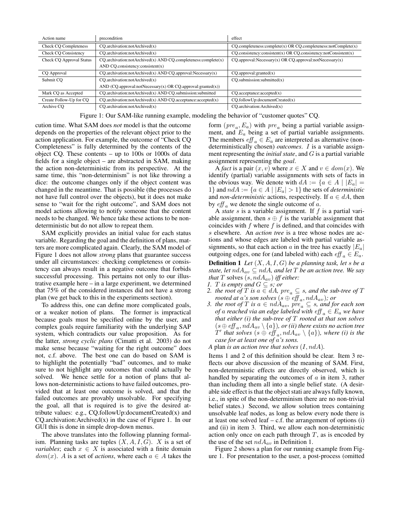| Action name                     | precondition                                                        | effect                                                                    |  |
|---------------------------------|---------------------------------------------------------------------|---------------------------------------------------------------------------|--|
| <b>Check CO Completeness</b>    | $CO.$ archivation:notArchived $(x)$                                 | $CQ$ .completeness:complete $(x)$ OR $CQ$ .completeness:notComplete $(x)$ |  |
| Check CQ Consistency            | $CO.$ archivation:notArchived $(x)$                                 | $CQ$ .consistency:consistent(x) OR $CQ$ .consistency:notConsistent(x)     |  |
| <b>Check CQ Approval Status</b> | $CQ$ .archivation:notArchived(x) AND $CQ$ .completeness:complete(x) | $CQ$ .approval:Necessary(x) OR $CQ$ .approval:notNecessary(x)             |  |
|                                 | AND CQ.consistency: $consistent(x)$                                 |                                                                           |  |
| CQ Approval                     | $CO.$ archivation:notArchived(x) AND $CO.$ approval:Necessary(x)    | $CQ$ .approval:granted $(x)$                                              |  |
| Submit CO                       | CO. are hivation: not Archived(x)                                   | $CO$ .submission:submitted $(x)$                                          |  |
|                                 | AND $(CQ.append:notNecessary(x) OR CQ.append:granted(x))$           |                                                                           |  |
| Mark CQ as Accepted             | $CO.$ archivation:notArchived $(x)$ AND $CO.$ submission:submitted  | $CQ$ . acceptance: accepted $(x)$                                         |  |
| Create Follow-Up for CO         | $CO. are hivation: not Archived(x) AND CO. accepted(x)$             | CO. follow Up: documentCreate(x)                                          |  |
| Archive CO                      | $CO.$ archivation:notArchived $(x)$                                 | $CO.$ archivation: Archived $(x)$                                         |  |

|  |  | Figure 1: Our SAM-like running example, modeling the behavior of "customer quotes" CQ. |
|--|--|----------------------------------------------------------------------------------------|
|  |  |                                                                                        |

cution time. What SAM does *not* model is that the outcome depends on the properties of the relevant object prior to the action application. For example, the outcome of "Check CQ Completeness" is fully determined by the contents of the object CQ. These contents – up to 100s or 1000s of data fields for a single object – are abstracted in SAM, making the action non-deterministic from its perspective. At the same time, this "non-determinism" is not like throwing a dice: the outcome changes only if the object content was changed in the meantime. That is possible (the processes do not have full control over the objects), but it does not make sense to "wait for the right outcome", and SAM does not model actions allowing to notify someone that the content needs to be changed. We hence take these actions to be nondeterministic but do not allow to repeat them.

SAM explicitly provides an initial value for each status variable. Regarding the goal and the definition of plans, matters are more complicated again. Clearly, the SAM model of Figure 1 does not allow *strong* plans that guarantee success under all circumstances: checking completeness or consistency can always result in a negative outcome that forbids successful processing. This pertains not only to our illustrative example here – in a large experiment, we determined that 75% of the considered instances did not have a strong plan (we get back to this in the experiments section).

To address this, one can define more complicated goals, or a weaker notion of plans. The former is impractical because goals must be specified online by the user, and complex goals require familiarity with the underlying SAP system, which contradicts our value proposition. As for the latter, *strong cyclic plans* (Cimatti et al. 2003) do not make sense because "waiting for the right outcome" does not, c.f. above. The best one can do based on SAM is to highlight the potentially "bad" outcomes, and to make sure to not highlight any outcomes that could actually be solved. We hence settle for a notion of plans that allows non-deterministic actions to have failed outcomes, provided that at least one outcome is solved, and that the failed outcomes are provably unsolvable. For specifying the goal, all that is required is to give the desired attribute values: e.g., CQ.followUp:documentCreated(x) and  $CQ$ .archivation: Archived $(x)$  in the case of Figure 1. In our GUI this is done in simple drop-down menus.

The above translates into the following planning formalism. Planning tasks are tuples  $(X, A, I, G)$ . X is a set of *variables*; each  $x \in X$  is associated with a finite domain  $dom(x)$ . A is a set of *actions*, where each  $a \in A$  takes the

form  $(\text{pre}_a, E_a)$  with  $\text{pre}_a$  being a partial variable assignment, and  $E_a$  being a set of partial variable assignments. The members  $\operatorname{eff}_a \in E_a$  are interpreted as alternative (nondeterministically chosen) *outcomes*. I is a variable assignment representing the *initial state*, and G is a partial variable assignment representing the *goal*.

A *fact* is a pair  $(x, v)$  where  $x \in X$  and  $v \in dom(x)$ . We identify (partial) variable assignments with sets of facts in the obvious way. We denote with  $dA := \{a \in A \mid |E_a| =$ 1} and  $ndA := \{a \in A \mid |E_a| > 1\}$  the sets of *deterministic* and *non-deterministic* actions, respectively. If  $a \in dA$ , then by  $\operatorname{eff}_a$  we denote the single outcome of a.

A *state* s is a variable assignment. If f is a partial variable assignment, then  $s \oplus f$  is the variable assignment that coincides with  $f$  where  $f$  is defined, and that coincides with s elsewhere. An *action tree* is a tree whose nodes are actions and whose edges are labeled with partial variable assignments, so that each action a in the tree has exactly  $|E_a|$ outgoing edges, one for (and labeled with) each  $\mathit{eff}_a \in E_a$ .

**Definition 1** *Let*  $(X, A, I, G)$  *be a planning task, let s be a state, let*  $ndA_{av} \subseteq ndA$ *, and let T be an action tree. We say that*  $T$  solves  $(s,ndA_{av})$  *iff either:* 

- *1. T is empty and*  $G \subseteq s$ *; or*
- *2. the root of*  $T$  *is*  $a \in dA$ *,*  $pre_a \subseteq s$ *, and the sub-tree of*  $T$ *rooted at a's son solves*  $(s \oplus \textit{eff}_a, ndA_{av})$ *; or*
- *3. the root of*  $T$  *is*  $a \in ndA_{av}$ *,*  $pre_a \subseteq s$ *, and for each son of* a reached via an edge labeled with  $\operatorname{eff}_a \in E_a$  we have *that either (i) the sub-tree of* T *rooted at that son solves*  $(s \oplus \text{eff}_{a}, \text{ndA}_{av} \setminus \{a\})$ , or (ii) there exists no action tree  $T'$  that solves  $(s \oplus \hat{eff}_a, ndA_{av} \setminus \{a\})$ , where (i) is the *case for at least one of* a*'s sons.*

*A* plan *is an action tree that solves*  $(I,ndA)$ *.* 

Items 1 and 2 of this definition should be clear. Item 3 reflects our above discussion of the meaning of SAM. First, non-deterministic effects are directly observed, which is handled by separating the outcomes of  $a$  in item 3, rather than including them all into a single belief state. (A desirable side effect is that the object stati are always fully known, i.e., in spite of the non-determinism there are no non-trivial belief states.) Second, we allow solution trees containing unsolvable leaf nodes, as long as below every node there is at least one solved leaf  $- c.f.$  the arrangement of options (i) and (ii) in item 3. Third, we allow each non-deterministic action only once on each path through  $T$ , as is encoded by the use of the set  $ndA_{av}$  in Definition 1.

Figure 2 shows a plan for our running example from Figure 1. For presentation to the user, a post-process (omitted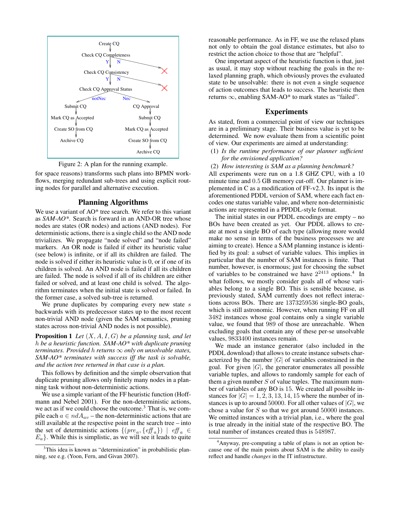



for space reasons) transforms such plans into BPMN workflows, merging redundant sub-trees and using explicit routing nodes for parallel and alternative execution.

### **Planning Algorithms**

We use a variant of AO\* tree search. We refer to this variant as *SAM-AO\**. Search is forward in an AND-OR tree whose nodes are states (OR nodes) and actions (AND nodes). For deterministic actions, there is a single child so the AND node trivializes. We propagate "node solved" and "node failed" markers. An OR node is failed if either its heuristic value (see below) is infinite, or if all its children are failed. The node is solved if either its heuristic value is 0, or if one of its children is solved. An AND node is failed if all its children are failed. The node is solved if all of its children are either failed or solved, and at least one child is solved. The algorithm terminates when the initial state is solved or failed. In the former case, a solved sub-tree is returned.

We prune duplicates by comparing every new state  $s$ backwards with its predecessor states up to the most recent non-trivial AND node (given the SAM semantics, pruning states across non-trivial AND nodes is not possible).

**Proposition 1** *Let* (X,A,I,G) *be a planning task, and let* h *be a heuristic function. SAM-AO\* with duplicate pruning terminates. Provided* h *returns* ∞ *only on unsolvable states, SAM-AO\* terminates with success iff the task is solvable, and the action tree returned in that case is a plan.*

This follows by definition and the simple observation that duplicate pruning allows only finitely many nodes in a planning task without non-deterministic actions.

We use a simple variant of the FF heuristic function (Hoffmann and Nebel 2001). For the non-deterministic actions, we act as if we could choose the outcome.<sup>3</sup> That is, we compile each  $a \in ndA_{av}$  – the non-deterministic actions that are still available at the respective point in the search tree – into the set of deterministic actions  $\{(pre_a, \{ \text{eff}_a \}) \mid \text{eff}_a \in$  $E_a$ . While this is simplistic, as we will see it leads to quite reasonable performance. As in FF, we use the relaxed plans not only to obtain the goal distance estimates, but also to restrict the action choice to those that are "helpful".

One important aspect of the heuristic function is that, just as usual, it may stop without reaching the goals in the relaxed planning graph, which obviously proves the evaluated state to be unsolvable: there is not even a single sequence of action outcomes that leads to success. The heuristic then returns  $\infty$ , enabling SAM-AO\* to mark states as "failed".

## **Experiments**

As stated, from a commercial point of view our techniques are in a preliminary stage. Their business value is yet to be determined. We now evaluate them from a scientific point of view. Our experiments are aimed at understanding:

- (1) *Is the runtime performance of our planner sufficient for the envisioned application?*
- (2) *How interesting is SAM as a planning benchmark?*

All experiments were run on a 1.8 GHZ CPU, with a 10 minute time and 0.5 GB memory cut-off. Our planner is implemented in C as a modification of FF-v2.3. Its input is the aforementioned PDDL version of SAM, where each fact encodes one status variable value, and where non-deterministic actions are represented in a PPDDL-style format.

The initial states in our PDDL encodings are empty – no BOs have been created as yet. Our PDDL allows to create at most a single BO of each type (allowing more would make no sense in terms of the business processes we are aiming to create). Hence a SAM planning instance is identified by its goal: a subset of variable values. This implies in particular that the number of SAM instances is finite. That number, however, is enormous; just for choosing the subset of variables to be constrained we have  $2^{2413}$  options.<sup>4</sup> In what follows, we mostly consider goals all of whose variables belong to a single BO. This is sensible because, as previously stated, SAM currently does not reflect interactions across BOs. There are 1373259536 single-BO goals, which is still astronomic. However, when running FF on all 3482 instances whose goal contains only a single variable value, we found that 989 of those are unreachable. When excluding goals that contain any of these per-se unsolvable values, 9833400 instances remain.

We made an instance generator (also included in the PDDL download) that allows to create instance subsets characterized by the number  $|G|$  of variables constrained in the goal. For given  $|G|$ , the generator enumerates all possible variable tuples, and allows to randomly sample for each of them a given number  $S$  of value tuples. The maximum number of variables of any BO is 15. We created all possible instances for  $|G| = 1, 2, 3, 13, 14, 15$  where the number of instances is up to around 50000. For all other values of  $|G|$ , we chose a value for S so that we got around 50000 instances. We omitted instances with a trivial plan, *i.e.*, where the goal is true already in the initial state of the respective BO. The total number of instances created thus is 548987.

<sup>&</sup>lt;sup>3</sup>This idea is known as "determinization" in probabilistic planning, see e.g. (Yoon, Fern, and Givan 2007).

<sup>4</sup>Anyway, pre-computing a table of plans is not an option because one of the main points about SAM is the ability to easily reflect and handle *changes* in the IT infrastructure.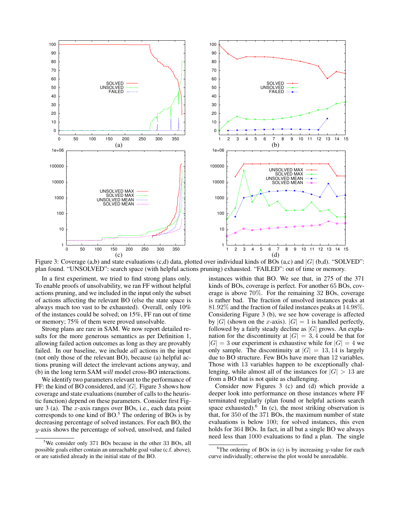

Figure 3: Coverage (a,b) and state evaluations (c,d) data, plotted over individual kinds of BOs (a,c) and  $|G|$  (b,d). "SOLVED": plan found. "UNSOLVED": search space (with helpful actions pruning) exhausted. "FAILED": out of time or memory.

In a first experiment, we tried to find strong plans only. To enable proofs of unsolvability, we ran FF without helpful actions pruning, and we included in the input only the subset of actions affecting the relevant BO (else the state space is always much too vast to be exhausted). Overall, only 10% of the instances could be solved; on 15%, FF ran out of time or memory; 75% of them were proved unsolvable.

Strong plans are rare in SAM. We now report detailed results for the more generous semantics as per Definition 1, allowing failed action outcomes as long as they are provably failed. In our baseline, we include *all* actions in the input (not only those of the relevant BO), because (a) helpful actions pruning will detect the irrelevant actions anyway, and (b) in the long term SAM *will* model cross-BO interactions.

We identify two parameters relevant to the performance of FF: the kind of BO considered, and  $|G|$ . Figure 3 shows how coverage and state evaluations (number of calls to the heuristic function) depend on these parameters. Consider first Figure  $3$  (a). The x-axis ranges over BOs, i.e., each data point corresponds to one kind of  $BO<sup>5</sup>$ . The ordering of  $BOs$  is by decreasing percentage of solved instances. For each BO, the y-axis shows the percentage of solved, unsolved, and failed

instances within that BO. We see that, in 275 of the 371 kinds of BOs, coverage is perfect. For another 65 BOs, coverage is above 70%. For the remaining 32 BOs, coverage is rather bad. The fraction of unsolved instances peaks at 81.92% and the fraction of failed instances peaks at 14.98%. Considering Figure 3 (b), we see how coverage is affected by |G| (shown on the x-axis).  $|G| = 1$  is handled perfectly, followed by a fairly steady decline as  $|G|$  grows. An explanation for the discontinuity at  $|G| = 3, 4$  could be that for  $|G| = 3$  our experiment is exhaustive while for  $|G| = 4$  we only sample. The discontinuity at  $|G| = 13, 14$  is largely due to BO structure. Few BOs have more than 12 variables. Those with 13 variables happen to be exceptionally challenging, while almost all of the instances for  $|G| > 13$  are from a BO that is not quite as challenging.

Consider now Figures 3 (c) and (d) which provide a deeper look into performance on those instances where FF terminated regularly (plan found or helpful actions search space exhausted). <sup>6</sup> In (c), the most striking observation is that, for 350 of the 371 BOs, the maximum number of state evaluations is below 100; for solved instances, this even holds for 364 BOs. In fact, in all but a single BO we always need less than 1000 evaluations to find a plan. The single

<sup>&</sup>lt;sup>5</sup>We consider only 371 BOs because in the other 33 BOs, all possible goals either contain an unreachable goal value (c.f. above), or are satisfied already in the initial state of the BO.

<sup>&</sup>lt;sup>6</sup>The ordering of BOs in (c) is by increasing y-value for each curve individually; otherwise the plot would be unreadable.